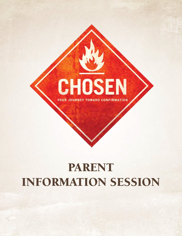

# PARENT INFORMATION SESSION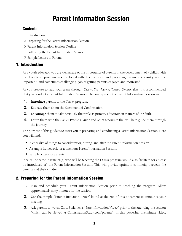# Parent Information Session

# **Contents**

- 1. Introduction
- 2. Preparing for the Parent Information Session
- 3. Parent Information Session Outline
- 4. Following the Parent Information Session
- 5. Sample Letters to Parents

# 1. Introduction

As a youth educator, you are well aware of the importance of parents in the development of a child's faith life. The *Chosen* program was developed with this reality in mind, providing resources to assist you in the important—and sometimes challenging—job of getting parents engaged and motivated.

As you prepare to lead your teens through *Chosen: Your Journey Toward Confirmation*, it is recommended that you conduct a Parent Information Session. The four goals of the Parent Information Session are to:

- 1. **Introduce** parents to the *Chosen* program.
- 2. **Educate** them about the Sacrament of Confirmation.
- 3. **Encourage** them to take seriously their role as primary educators in matters of the faith.
- 4. **Equip** them with the *Chosen* Parent's Guide and other resources that will help guide them through the journey.

The purpose of this guide is to assist you in preparing and conducting a Parent Information Session. Here you will find:

- A checklist of things to consider prior, during, and after the Parent Information Session.
- A sample framework for a one-hour Parent Information Session.
- Sample letters for parents.

Ideally, the same instructor(s) who will be teaching the *Chosen* program would also facilitate (or at least be introduced at) the Parent Information Session. This will provide optimum continuity between the parents and their children.

# 2. Preparing for the Parent Information Session

- 1. Plan and schedule your Parent Information Session prior to teaching the program. Allow approximately sixty minutes for the session.
- 2. Use the sample "Parents Invitation Letter" found at the end of this document to announce your meeting.
- 3. Ask parents to watch Chris Stefanick's "Parent Invitation Video" prior to the attending the session (which can be viewed at ConfirmationStudy.com/parents). In this powerful, five-minute video,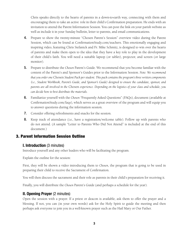Chris speaks directly to the hearts of parents in a down-to-earth way, connecting with them and encouraging them to take an active role in their child's Confirmation preparation. He ends with an invitation to attend the Parent Information Session. You can post the link on your parish website as well as include it in your Sunday bulletin, letter to parents, and email communications.

- 4. Prepare to show the twenty-minute "Chosen Parent's Session" overview video during the Parent Session, which can be found at ConfirmationStudy.com/teachers. This emotionally engaging and inspiring video, featuring Chris Stefanick and Fr. Mike Schmitz, is designed to win over the hearts of parents and make them open to the idea that they have a key role to play in the development of their child's faith. You will need a suitable laptop (or tablet), projector, and screen (or large monitor).
- 5. Prepare to distribute the *Chosen* Parent's Guide. We recommend that you become familiar with the content of the Parent's and Sponsor's Guides prior to the Information Session. *Note: We recommend that you order one* Chosen *Student Pack per student. This pack contains the program's three written components (i.e., Student Workbook, Parent's Guide, and Sponsor's Guide) designed to ensure the candidate, sponsor, and parents are all involved in the* Chosen *experience. Depending on the logistics of your class and schedule, you can decide how to best distribute the materials.*
- 6. Familiarize yourself with the *Chosen "*Frequently Asked Questions" (FAQs), document (available at ConfirmationStudy.com/faqs), which serves as a great overview of the program and will equip you to answer questions during the information session.
- 7. Consider offering refreshments and snacks for the session.
- 8. Keep track of attendance (i.e., have a registration/welcome table). Follow up with parents who do not attend. (A sample "Letter to Parents Who Did Not Attend" is included at the end of this document.)

# 3. Parent Information Session Outline

#### I. Introduction (3 minutes)

Introduce yourself and any other leaders who will be facilitating the program.

Explain the outline for the session:

First, they will be shown a video introducing them to *Chosen*, the program that is going to be used in preparing their child to receive the Sacrament of Confirmation.

You will then discuss the sacrament and their role as parents in their child's preparation for receiving it.

Finally, you will distribute the *Chosen* Parent's Guide (and perhaps a schedule for the year).

# II. Opening Prayer (2 minutes)

Open the session with a prayer. If a priest or deacon is available, ask them to offer the prayer and a blessing. If not, you can (in your own words) ask for the Holy Spirit to guide the meeting and then perhaps ask everyone to join you in a well-known prayer such as the Hail Mary or Our Father.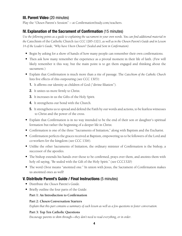# III. Parent Video (20 minutes)

Play the *"Chosen* Parent's Session" — at ConfirmationStudy.com/teachers.

# IV. Explanation of the Sacrament of Confirmation (15 minutes)

*Use the following points as a guide to explaining the sacrament in your own words. You can find additional material in the* Catechism of the Catholic Church *(see CCC 1285-1321), as well as in the Chosen Parent's Guide and in Lesson 14 of the Leader's Guide, "Why have I been Chosen? (Sealed and Sent in Confirmation).*

- Begin by asking for a show of hands of how many people can remember their own confirmations.
- Then ask how many remember the experience as a pivotal moment in their life of faith. (Few will likely remember it this way, but the main point is to get them engaged and thinking about the sacrament.)
- Explain that Confirmation is much more than a rite of passage. The *Catechism of the Catholic Church* lists five effects of this outpouring (see CCC 1303):
	- 1. It affirms our identity as children of God ("divine filiation").
	- 2. It unites us more firmly to Christ.
	- 3. It increases in us the Gifts of the Holy Spirit.
	- 4. It strengthens our bond with the Church.
	- 5. It strengthens us to spread and defend the Faith by our words and actions, to be fearless witnesses to Christ and the power of the cross.
- Explain that Confirmation is in no way intended to be the end of their son or daughter's spiritual formation but rather the beginning of a deeper life in Christ.
- Confirmation is one of the three "Sacraments of Initiation," along with Baptism and the Eucharist.
- Confirmation perfects the graces received at Baptism, empowering us to be followers of the Lord and co-workers for the kingdom (see CCC 1316).
- Unlike the other Sacraments of Initiation, the ordinary minister of Confirmation is the bishop, a successor of the apostles.
- The bishop extends his hands over those to be confirmed, prays over them, and anoints them with holy oil saying, "Be sealed with the Gift of the Holy Spirit." (see CCC1320)
- The word *Christ* means "anointed one." In union with Jesus, the Sacrament of Confirmation makes us anointed ones as well!

# V. Distribute Parent's Guide / Final Instructions (5 minutes)

- Distribute the *Chosen* Parent's Guide.
- Briefly outline the four parts of the Guide:

#### **Part 1: An Introduction to Confirmation**

#### **Part 2:** *Chosen* **Conversation Starters**

*Explain that this part contains a summary of each lesson as well as a few questions to foster conversation.*

#### **Part 3: Top Ten Catholic Questions**

*Encourage parents to skim through—they don't need to read everything, or in order*.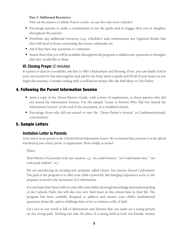#### **Part 4: Additional Resources**

*Point out this features a Catholic Prayers section—in case they may need a refresher!*

- Encourage parents to make a commitment to use the guide and to engage their son or daughter throughout the journey.
- Distribute any additional resources (e.g., schedules) and communicate any logistical details that they will need to know concerning the retreat, rehearsals, etc.
- Ask if they have any questions or comments.
- Assure them that you will be available throughout the program to address any questions or thoughts that they would like to share.

# VI. Closing Prayer (2 minutes)

If a priest or deacon is available, ask him to offer a final prayer and blessing. If not, you can thank God in your own words for this time together and ask for the Holy Spirit to guide and fill all of your hearts as you begin this journey. Consider ending with a well-known prayer like the Hail Mary or Our Father.

# 4. Following the Parent Information Session

- Send a copy of the *Chosen* Parent's Guide, with a letter of explanation, to those parents who did not attend the Information Session. Use the sample "Letter to Parents Who Did Not Attend the Information Session" at the end of this document, or a modified version.
- Encourage those who did not attend to view the "*Chosen* Parent's Session" at ConfirmationStudy. com/teachers.

# 5. Sample Letters

# Invitation Letter to Parents

*To be used to invite parents to the* Chosen *Parent Information Session. We recommend that you print it on the official letterhead of your school, parish, or organization. Please modify as needed.*

#### [Date]

Dear Parents of [*customize to fit your situation, e.g., "our youth ministry," "our Confirmation class," "our tenth grade students", etc.]*

We are introducing an exciting new program called *Chosen: Your Journey Toward Confirmation*. The goal of the program is to offer your child a powerful, life-changing experience as he or she prepares to receive the Sacrament of Confirmation.

It is our hope that *Chosen* will not only offer your child a thorough knowledge and understanding of the Catholic Faith, but will also win over their heart at this critical time in their life. The program has been carefully designed to address and answer your child's fundamental questions about life, and to challenge him or her to embrace a life of faith.

Let's face it—our world is full of distractions and detours that can easily set a young person on the wrong path. Nothing can take the place of a strong faith in God: not friends, money,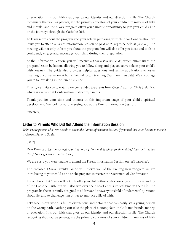or education. It is our faith that gives us our identity and our direction in life. The Church recognizes that you, as parents, are the primary educators of your children in matters of faith and morals—and the *Chosen* program offers you a unique opportunity to join your child as he or she journeys through the Catholic faith.

To learn more about the program and your role in preparing your child for Confirmation, we invite you to attend a Parent Information Session on [*add date/time*] to be held at [*location*]. The meeting will not only inform you about the program, but will also offer you ideas and tools to confidently engage and encourage your child during their preparation.

At the Information Session, you will receive a *Chosen Parent's Guide,* which summarizes the program lesson by lesson, allowing you to follow along and play an active role in your child's faith journey. The guide also provides helpful questions and family applications to foster meaningful conversation at home. We will begin teaching *Chosen* on [*start date*]. We encourage you to follow along in the Parent's Guide.

Finally, we invite you to watch a welcome video to parents from *Chosen's* author, Chris Stefanick, which is available at ConfirmationStudy.com/parents.

Thank you for your time and interest in this important stage of your child's spiritual development. We look forward to seeing you at the Parent Information Session.

Sincerely,

# Letter to Parents Who Did Not Attend the Information Session

*To be sent to parents who were unable to attend the Parent Information Session. If you mail this letter, be sure to include a* Chosen *Parent's Guide.*

[Date]

Dear Parents of [*customize to fit your situation, e.g., "our middle school youth ministry," "our confirmation class," "our eight grade students", etc.]*

We are sorry you were unable to attend the Parent Information Session on [*add date/time*].

The enclosed *Chosen* Parent's Guide will inform you of the exciting new program we are introducing to your child as he or she prepares to receive the Sacrament of Confirmation.

It is our hope that *Chosen* will not only offer your child a thorough knowledge and understanding of the Catholic Faith, but will also win over their heart at this critical time in their life. The program has been carefully designed to address and answer your child's fundamental questions about life, and to challenge him or her to embrace a life of faith.

Let's face it—our world is full of distractions and detours that can easily set a young person on the wrong path. Nothing can take the place of a strong faith in God: not friends, money, or education. It is our faith that gives us our identity and our direction in life. The Church recognizes that you, as parents, are the primary educators of your children in matters of faith